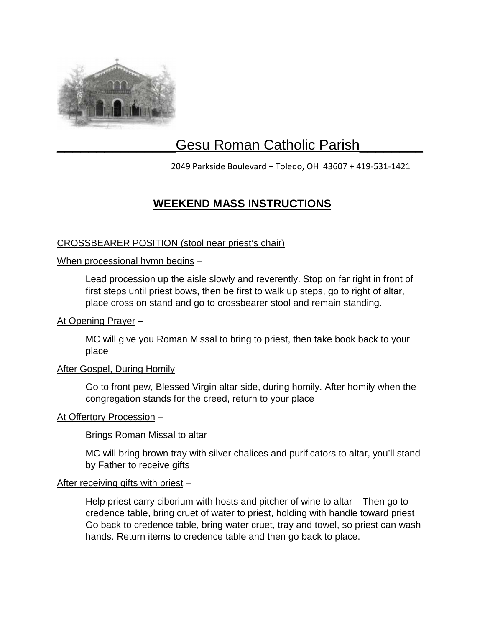

# Gesu Roman Catholic Parish

2049 Parkside Boulevard + Toledo, OH 43607 + 419-531-1421

# **WEEKEND MASS INSTRUCTIONS**

### CROSSBEARER POSITION (stool near priest's chair)

#### When processional hymn begins -

Lead procession up the aisle slowly and reverently. Stop on far right in front of first steps until priest bows, then be first to walk up steps, go to right of altar, place cross on stand and go to crossbearer stool and remain standing.

#### At Opening Prayer –

MC will give you Roman Missal to bring to priest, then take book back to your place

#### After Gospel, During Homily

Go to front pew, Blessed Virgin altar side, during homily. After homily when the congregation stands for the creed, return to your place

#### At Offertory Procession –

Brings Roman Missal to altar

MC will bring brown tray with silver chalices and purificators to altar, you'll stand by Father to receive gifts

#### After receiving gifts with priest –

Help priest carry ciborium with hosts and pitcher of wine to altar – Then go to credence table, bring cruet of water to priest, holding with handle toward priest Go back to credence table, bring water cruet, tray and towel, so priest can wash hands. Return items to credence table and then go back to place.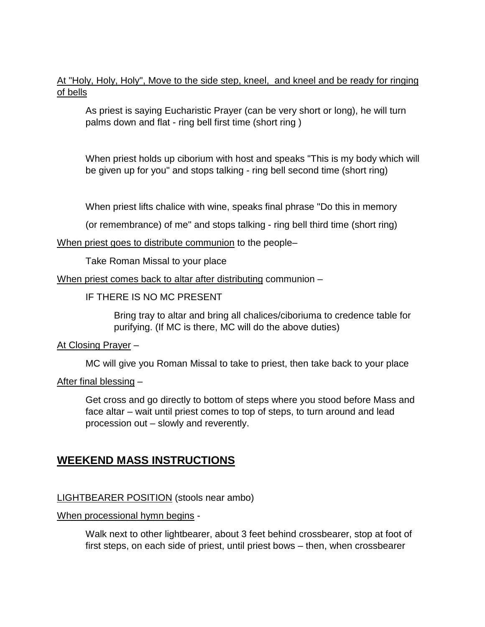At "Holy, Holy, Holy", Move to the side step, kneel, and kneel and be ready for ringing of bells

As priest is saying Eucharistic Prayer (can be very short or long), he will turn palms down and flat - ring bell first time (short ring )

When priest holds up ciborium with host and speaks "This is my body which will be given up for you" and stops talking - ring bell second time (short ring)

When priest lifts chalice with wine, speaks final phrase "Do this in memory

(or remembrance) of me" and stops talking - ring bell third time (short ring)

When priest goes to distribute communion to the people-

Take Roman Missal to your place

When priest comes back to altar after distributing communion –

IF THERE IS NO MC PRESENT

Bring tray to altar and bring all chalices/ciboriuma to credence table for purifying. (If MC is there, MC will do the above duties)

At Closing Prayer –

MC will give you Roman Missal to take to priest, then take back to your place

After final blessing –

Get cross and go directly to bottom of steps where you stood before Mass and face altar – wait until priest comes to top of steps, to turn around and lead procession out – slowly and reverently.

## **WEEKEND MASS INSTRUCTIONS**

### LIGHTBEARER POSITION (stools near ambo)

When processional hymn begins -

Walk next to other lightbearer, about 3 feet behind crossbearer, stop at foot of first steps, on each side of priest, until priest bows – then, when crossbearer